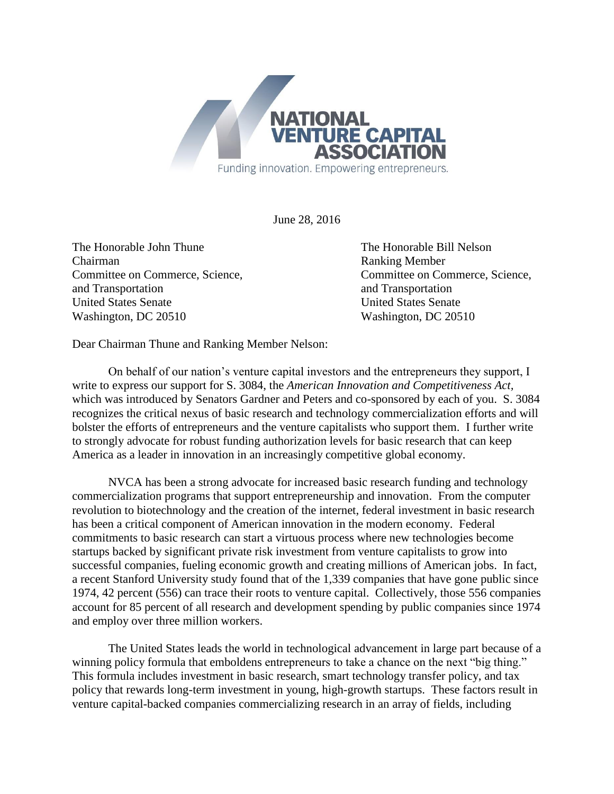

June 28, 2016

The Honorable John Thune The Honorable Bill Nelson Chairman Ranking Member Committee on Commerce, Science, Committee on Commerce, Science, and Transportation and Transportation and Transportation United States Senate United States Senate Washington, DC 20510 Washington, DC 20510

Dear Chairman Thune and Ranking Member Nelson:

On behalf of our nation's venture capital investors and the entrepreneurs they support, I write to express our support for S. 3084, the *American Innovation and Competitiveness Act,*  which was introduced by Senators Gardner and Peters and co-sponsored by each of you. S. 3084 recognizes the critical nexus of basic research and technology commercialization efforts and will bolster the efforts of entrepreneurs and the venture capitalists who support them. I further write to strongly advocate for robust funding authorization levels for basic research that can keep America as a leader in innovation in an increasingly competitive global economy.

NVCA has been a strong advocate for increased basic research funding and technology commercialization programs that support entrepreneurship and innovation. From the computer revolution to biotechnology and the creation of the internet, federal investment in basic research has been a critical component of American innovation in the modern economy. Federal commitments to basic research can start a virtuous process where new technologies become startups backed by significant private risk investment from venture capitalists to grow into successful companies, fueling economic growth and creating millions of American jobs. In fact, a recent Stanford University study found that of the 1,339 companies that have gone public since 1974, 42 percent (556) can trace their roots to venture capital. Collectively, those 556 companies account for 85 percent of all research and development spending by public companies since 1974 and employ over three million workers.

The United States leads the world in technological advancement in large part because of a winning policy formula that emboldens entrepreneurs to take a chance on the next "big thing." This formula includes investment in basic research, smart technology transfer policy, and tax policy that rewards long-term investment in young, high-growth startups. These factors result in venture capital-backed companies commercializing research in an array of fields, including